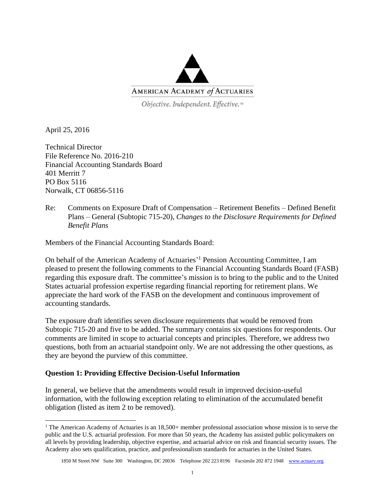

Objective. Independent. Effective.™

April 25, 2016

 $\overline{\phantom{a}}$ 

Technical Director File Reference No. 2016-210 Financial Accounting Standards Board 401 Merritt 7 PO Box 5116 Norwalk, CT 06856-5116

Re: Comments on Exposure Draft of Compensation – Retirement Benefits – Defined Benefit Plans – General (Subtopic 715-20), *Changes to the Disclosure Requirements for Defined Benefit Plans*

Members of the Financial Accounting Standards Board:

On behalf of the American Academy of Actuaries<sup>'1</sup> Pension Accounting Committee, I am pleased to present the following comments to the Financial Accounting Standards Board (FASB) regarding this exposure draft. The committee's mission is to bring to the public and to the United States actuarial profession expertise regarding financial reporting for retirement plans. We appreciate the hard work of the FASB on the development and continuous improvement of accounting standards.

The exposure draft identifies seven disclosure requirements that would be removed from Subtopic 715-20 and five to be added. The summary contains six questions for respondents. Our comments are limited in scope to actuarial concepts and principles. Therefore, we address two questions, both from an actuarial standpoint only. We are not addressing the other questions, as they are beyond the purview of this committee.

## **Question 1: Providing Effective Decision-Useful Information**

In general, we believe that the amendments would result in improved decision-useful information, with the following exception relating to elimination of the accumulated benefit obligation (listed as item 2 to be removed).

<sup>&</sup>lt;sup>1</sup> The American Academy of Actuaries is an  $18,500+$  member professional association whose mission is to serve the public and the U.S. actuarial profession. For more than 50 years, the Academy has assisted public policymakers on all levels by providing leadership, objective expertise, and actuarial advice on risk and financial security issues. The Academy also sets qualification, practice, and professionalism standards for actuaries in the United States.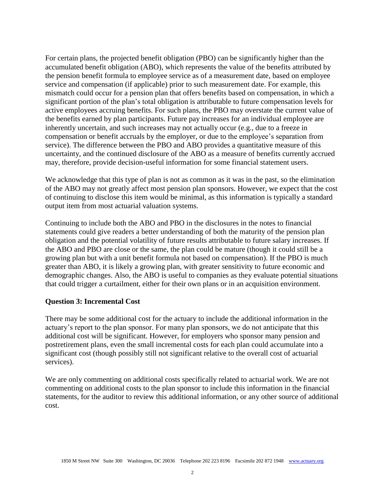For certain plans, the projected benefit obligation (PBO) can be significantly higher than the accumulated benefit obligation (ABO), which represents the value of the benefits attributed by the pension benefit formula to employee service as of a measurement date, based on employee service and compensation (if applicable) prior to such measurement date. For example, this mismatch could occur for a pension plan that offers benefits based on compensation, in which a significant portion of the plan's total obligation is attributable to future compensation levels for active employees accruing benefits. For such plans, the PBO may overstate the current value of the benefits earned by plan participants. Future pay increases for an individual employee are inherently uncertain, and such increases may not actually occur (e.g., due to a freeze in compensation or benefit accruals by the employer, or due to the employee's separation from service). The difference between the PBO and ABO provides a quantitative measure of this uncertainty, and the continued disclosure of the ABO as a measure of benefits currently accrued may, therefore, provide decision-useful information for some financial statement users.

We acknowledge that this type of plan is not as common as it was in the past, so the elimination of the ABO may not greatly affect most pension plan sponsors. However, we expect that the cost of continuing to disclose this item would be minimal, as this information is typically a standard output item from most actuarial valuation systems.

Continuing to include both the ABO and PBO in the disclosures in the notes to financial statements could give readers a better understanding of both the maturity of the pension plan obligation and the potential volatility of future results attributable to future salary increases. If the ABO and PBO are close or the same, the plan could be mature (though it could still be a growing plan but with a unit benefit formula not based on compensation). If the PBO is much greater than ABO, it is likely a growing plan, with greater sensitivity to future economic and demographic changes. Also, the ABO is useful to companies as they evaluate potential situations that could trigger a curtailment, either for their own plans or in an acquisition environment.

## **Question 3: Incremental Cost**

There may be some additional cost for the actuary to include the additional information in the actuary's report to the plan sponsor. For many plan sponsors, we do not anticipate that this additional cost will be significant. However, for employers who sponsor many pension and postretirement plans, even the small incremental costs for each plan could accumulate into a significant cost (though possibly still not significant relative to the overall cost of actuarial services).

We are only commenting on additional costs specifically related to actuarial work. We are not commenting on additional costs to the plan sponsor to include this information in the financial statements, for the auditor to review this additional information, or any other source of additional cost.